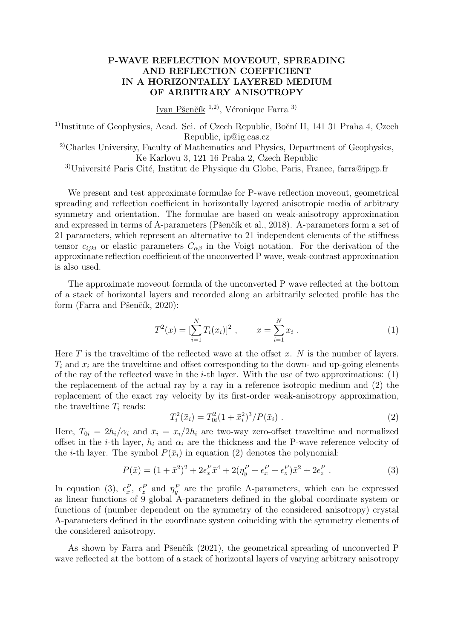## **P-WAVE REFLECTION MOVEOUT, SPREADING AND REFLECTION COEFFICIENT IN A HORIZONTALLY LAYERED MEDIUM OF ARBITRARY ANISOTROPY**

Ivan Pšenčík <sup>1,2)</sup>, Véronique Farra <sup>3)</sup>

<sup>1)</sup>Institute of Geophysics, Acad. Sci. of Czech Republic, Boční II, 141 31 Praha 4, Czech Republic, ip@ig.cas.cz

2)Charles University, Faculty of Mathematics and Physics, Department of Geophysics, Ke Karlovu 3, 121 16 Praha 2, Czech Republic

<sup>3)</sup>Université Paris Cité, Institut de Physique du Globe, Paris, France, farra@ipgp.fr

We present and test approximate formulae for P-wave reflection moveout, geometrical spreading and reflection coefficient in horizontally layered anisotropic media of arbitrary symmetry and orientation. The formulae are based on weak-anisotropy approximation and expressed in terms of A-parameters (Pšenčík et al., 2018). A-parameters form a set of 21 parameters, which represent an alternative to 21 independent elements of the stiffness tensor  $c_{ijkl}$  or elastic parameters  $C_{\alpha\beta}$  in the Voigt notation. For the derivation of the approximate reflection coefficient of the unconverted P wave, weak-contrast approximation is also used.

The approximate moveout formula of the unconverted P wave reflected at the bottom of a stack of horizontal layers and recorded along an arbitrarily selected profile has the form (Farra and Pšenčík, 2020):

$$
T^{2}(x) = \left[\sum_{i=1}^{N} T_{i}(x_{i})\right]^{2}, \qquad x = \sum_{i=1}^{N} x_{i} . \qquad (1)
$$

Here  $T$  is the traveltime of the reflected wave at the offset  $x$ .  $N$  is the number of layers.  $T_i$  and  $x_i$  are the traveltime and offset corresponding to the down- and up-going elements of the ray of the reflected wave in the *i*-th layer. With the use of two approximations: (1) the replacement of the actual ray by a ray in a reference isotropic medium and (2) the replacement of the exact ray velocity by its first-order weak-anisotropy approximation, the traveltime  $T_i$  reads:

$$
T_i^2(\bar{x}_i) = T_{0i}^2 (1 + \bar{x}_i^2)^3 / P(\bar{x}_i) \tag{2}
$$

Here,  $T_{0i} = 2h_i/\alpha_i$  and  $\bar{x}_i = x_i/2h_i$  are two-way zero-offset traveltime and normalized offset in the *i*-th layer,  $h_i$  and  $\alpha_i$  are the thickness and the P-wave reference velocity of the *i*-th layer. The symbol  $P(\bar{x}_i)$  in equation (2) denotes the polynomial:

$$
P(\bar{x}) = (1 + \bar{x}^2)^2 + 2\epsilon_x^P \bar{x}^4 + 2(\eta_y^P + \epsilon_x^P + \epsilon_z^P)\bar{x}^2 + 2\epsilon_z^P.
$$
 (3)

In equation (3),  $\epsilon_x^P$ ,  $\epsilon_z^P$  and  $\eta_y^P$  are the profile A-parameters, which can be expressed as linear functions of 9 global A-parameters defined in the global coordinate system or functions of (number dependent on the symmetry of the considered anisotropy) crystal A-parameters defined in the coordinate system coinciding with the symmetry elements of the considered anisotropy.

As shown by Farra and Pšenčík (2021), the geometrical spreading of unconverted P wave reflected at the bottom of a stack of horizontal layers of varying arbitrary anisotropy